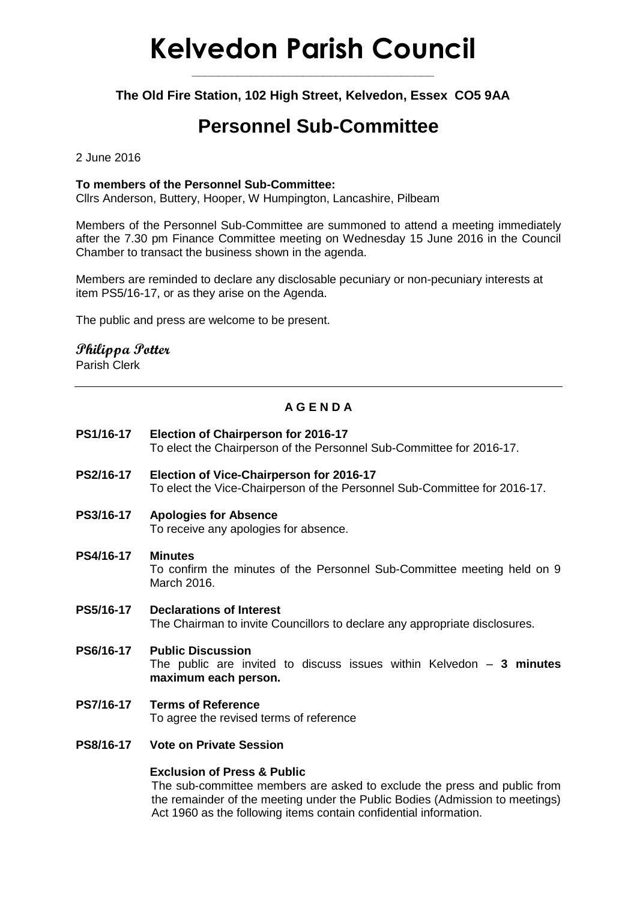# **Kelvedon Parish Council**

**\_\_\_\_\_\_\_\_\_\_\_\_\_\_\_\_\_\_\_\_\_\_\_\_\_\_\_\_\_\_\_\_\_\_\_\_\_**

**The Old Fire Station, 102 High Street, Kelvedon, Essex CO5 9AA**

# **Personnel Sub-Committee**

2 June 2016

#### **To members of the Personnel Sub-Committee:**

Cllrs Anderson, Buttery, Hooper, W Humpington, Lancashire, Pilbeam

Members of the Personnel Sub-Committee are summoned to attend a meeting immediately after the 7.30 pm Finance Committee meeting on Wednesday 15 June 2016 in the Council Chamber to transact the business shown in the agenda.

Members are reminded to declare any disclosable pecuniary or non-pecuniary interests at item PS5/16-17, or as they arise on the Agenda.

The public and press are welcome to be present.

### **Philippa Potter**

Parish Clerk

## **A G E N D A**

- **PS1/16-17 Election of Chairperson for 2016-17** To elect the Chairperson of the Personnel Sub-Committee for 2016-17. **PS2/16-17 Election of Vice-Chairperson for 2016-17** To elect the Vice-Chairperson of the Personnel Sub-Committee for 2016-17. **PS3/16-17 Apologies for Absence** To receive any apologies for absence. **PS4/16-17 Minutes** To confirm the minutes of the Personnel Sub-Committee meeting held on 9 March 2016. **PS5/16-17 Declarations of Interest** The Chairman to invite Councillors to declare any appropriate disclosures. **PS6/16-17 Public Discussion** The public are invited to discuss issues within Kelvedon – **3 minutes maximum each person. PS7/16-17 Terms of Reference** To agree the revised terms of reference
- **PS8/16-17 Vote on Private Session**

#### **Exclusion of Press & Public**

The sub-committee members are asked to exclude the press and public from the remainder of the meeting under the Public Bodies (Admission to meetings) Act 1960 as the following items contain confidential information.